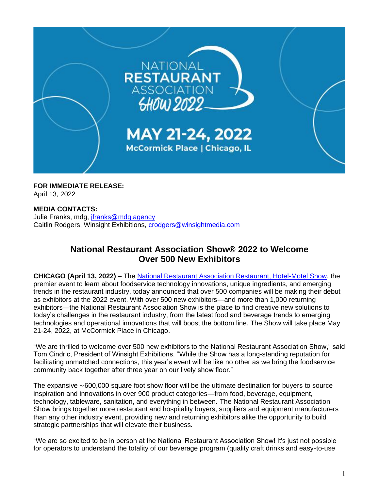

**FOR IMMEDIATE RELEASE:** April 13, 2022

## **MEDIA CONTACTS:**

Julie Franks, mdg, [jfranks@mdg.agency](mailto:jfranks@mdg.agency) Caitlin Rodgers, Winsight Exhibitions, [crodgers@winsightmedia.com](mailto:crodgers@winsightmedia.com)

## **National Restaurant Association Show® 2022 to Welcome Over 500 New Exhibitors**

**CHICAGO (April 13, 2022)** – The [National Restaurant Association Restaurant, Hotel-Motel Show,](https://www.nationalrestaurantshow.com/) the premier event to learn about foodservice technology innovations, unique ingredients, and emerging trends in the restaurant industry, today announced that over 500 companies will be making their debut as exhibitors at the 2022 event. With over 500 new exhibitors—and more than 1,000 returning exhibitors—the National Restaurant Association Show is the place to find creative new solutions to today's challenges in the restaurant industry, from the latest food and beverage trends to emerging technologies and operational innovations that will boost the bottom line. The Show will take place May 21-24, 2022, at McCormick Place in Chicago.

"We are thrilled to welcome over 500 new exhibitors to the National Restaurant Association Show," said Tom Cindric, President of Winsight Exhibitions. "While the Show has a long-standing reputation for facilitating unmatched connections, this year's event will be like no other as we bring the foodservice community back together after three year on our lively show floor."

The expansive ∼600,000 square foot show floor will be the ultimate destination for buyers to source inspiration and innovations in over 900 product categories—from food, beverage, equipment, technology, tableware, sanitation, and everything in between. The National Restaurant Association Show brings together more restaurant and hospitality buyers, suppliers and equipment manufacturers than any other industry event, providing new and returning exhibitors alike the opportunity to build strategic partnerships that will elevate their business.

"We are so excited to be in person at the National Restaurant Association Show! It's just not possible for operators to understand the totality of our beverage program (quality craft drinks and easy-to-use